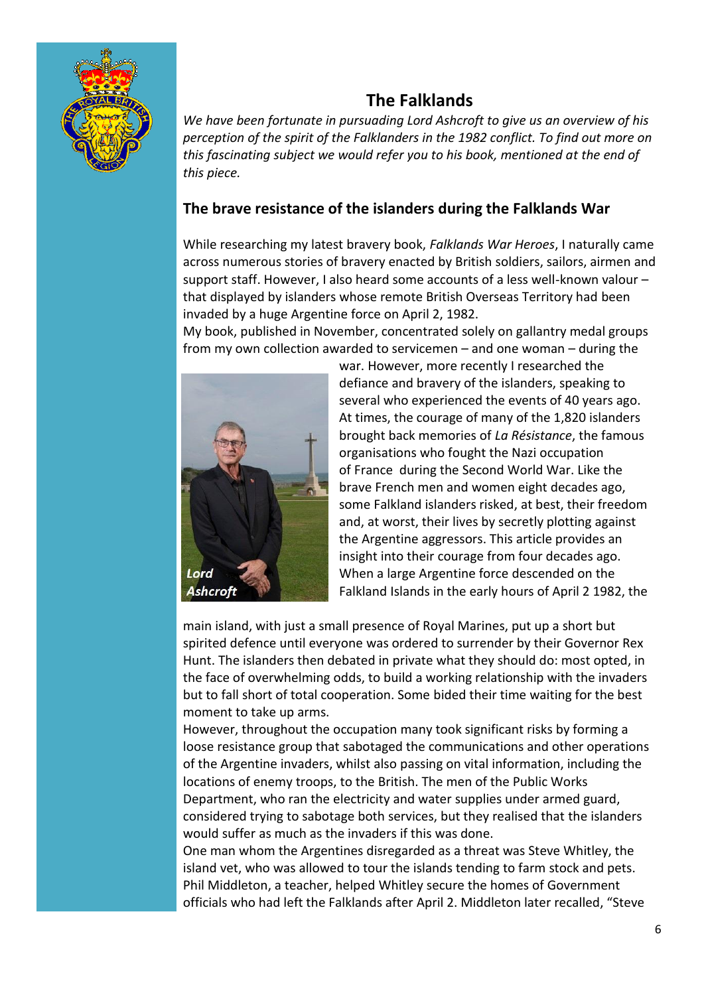

## **The Falklands**

*We have been fortunate in pursuading Lord Ashcroft to give us an overview of his perception of the spirit of the Falklanders in the 1982 conflict. To find out more on this fascinating subject we would refer you to his book, mentioned at the end of this piece.*

## **The brave resistance of the islanders during the Falklands War**

While researching my latest bravery book, *Falklands War Heroes*, I naturally came across numerous stories of bravery enacted by British soldiers, sailors, airmen and support staff. However, I also heard some accounts of a less well-known valour – that displayed by islanders whose remote British Overseas Territory had been invaded by a huge Argentine force on April 2, 1982.

My book, published in November, concentrated solely on gallantry medal groups from my own collection awarded to servicemen – and one woman – during the



war. However, more recently I researched the defiance and bravery of the islanders, speaking to several who experienced the events of 40 years ago. At times, the courage of many of the 1,820 islanders brought back memories of *La Résistance*, the famous organisations who fought the Nazi occupation of France during the Second World War. Like the brave French men and women eight decades ago, some Falkland islanders risked, at best, their freedom and, at worst, their lives by secretly plotting against the Argentine aggressors. This article provides an insight into their courage from four decades ago. When a large Argentine force descended on the Falkland Islands in the early hours of April 2 1982, the

main island, with just a small presence of Royal Marines, put up a short but spirited defence until everyone was ordered to surrender by their Governor Rex Hunt. The islanders then debated in private what they should do: most opted, in the face of overwhelming odds, to build a working relationship with the invaders but to fall short of total cooperation. Some bided their time waiting for the best moment to take up arms.

However, throughout the occupation many took significant risks by forming a loose resistance group that sabotaged the communications and other operations of the Argentine invaders, whilst also passing on vital information, including the locations of enemy troops, to the British. The men of the Public Works Department, who ran the electricity and water supplies under armed guard, considered trying to sabotage both services, but they realised that the islanders would suffer as much as the invaders if this was done.

One man whom the Argentines disregarded as a threat was Steve Whitley, the island vet, who was allowed to tour the islands tending to farm stock and pets. Phil Middleton, a teacher, helped Whitley secure the homes of Government officials who had left the Falklands after April 2. Middleton later recalled, "Steve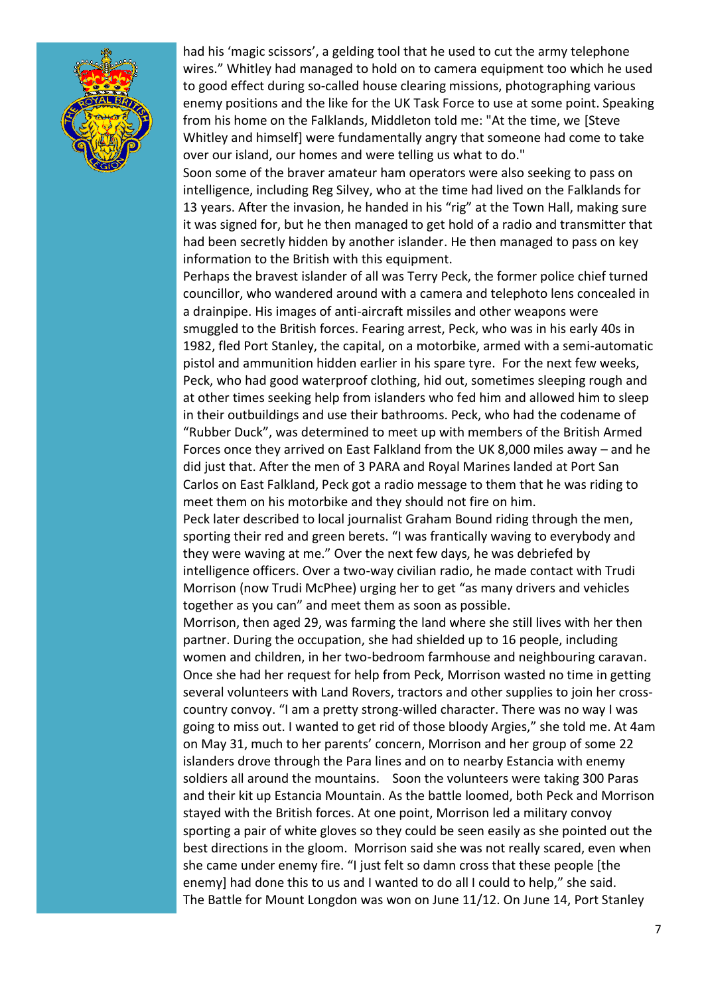

had his 'magic scissors', a gelding tool that he used to cut the army telephone wires." Whitley had managed to hold on to camera equipment too which he used to good effect during so-called house clearing missions, photographing various enemy positions and the like for the UK Task Force to use at some point. Speaking from his home on the Falklands, Middleton told me: "At the time, we [Steve Whitley and himself] were fundamentally angry that someone had come to take over our island, our homes and were telling us what to do."

Soon some of the braver amateur ham operators were also seeking to pass on intelligence, including Reg Silvey, who at the time had lived on the Falklands for 13 years. After the invasion, he handed in his "rig" at the Town Hall, making sure it was signed for, but he then managed to get hold of a radio and transmitter that had been secretly hidden by another islander. He then managed to pass on key information to the British with this equipment.

Perhaps the bravest islander of all was Terry Peck, the former police chief turned councillor, who wandered around with a camera and telephoto lens concealed in a drainpipe. His images of anti-aircraft missiles and other weapons were smuggled to the British forces. Fearing arrest, Peck, who was in his early 40s in 1982, fled Port Stanley, the capital, on a motorbike, armed with a semi-automatic pistol and ammunition hidden earlier in his spare tyre. For the next few weeks, Peck, who had good waterproof clothing, hid out, sometimes sleeping rough and at other times seeking help from islanders who fed him and allowed him to sleep in their outbuildings and use their bathrooms. Peck, who had the codename of "Rubber Duck", was determined to meet up with members of the British Armed Forces once they arrived on East Falkland from the UK 8,000 miles away – and he did just that. After the men of 3 PARA and Royal Marines landed at Port San Carlos on East Falkland, Peck got a radio message to them that he was riding to meet them on his motorbike and they should not fire on him.

Peck later described to local journalist Graham Bound riding through the men, sporting their red and green berets. "I was frantically waving to everybody and they were waving at me." Over the next few days, he was debriefed by intelligence officers. Over a two-way civilian radio, he made contact with Trudi Morrison (now Trudi McPhee) urging her to get "as many drivers and vehicles together as you can" and meet them as soon as possible.

Morrison, then aged 29, was farming the land where she still lives with her then partner. During the occupation, she had shielded up to 16 people, including women and children, in her two-bedroom farmhouse and neighbouring caravan. Once she had her request for help from Peck, Morrison wasted no time in getting several volunteers with Land Rovers, tractors and other supplies to join her crosscountry convoy. "I am a pretty strong-willed character. There was no way I was going to miss out. I wanted to get rid of those bloody Argies," she told me. At 4am on May 31, much to her parents' concern, Morrison and her group of some 22 islanders drove through the Para lines and on to nearby Estancia with enemy soldiers all around the mountains. Soon the volunteers were taking 300 Paras and their kit up Estancia Mountain. As the battle loomed, both Peck and Morrison stayed with the British forces. At one point, Morrison led a military convoy sporting a pair of white gloves so they could be seen easily as she pointed out the best directions in the gloom. Morrison said she was not really scared, even when she came under enemy fire. "I just felt so damn cross that these people [the enemy] had done this to us and I wanted to do all I could to help," she said. The Battle for Mount Longdon was won on June 11/12. On June 14, Port Stanley